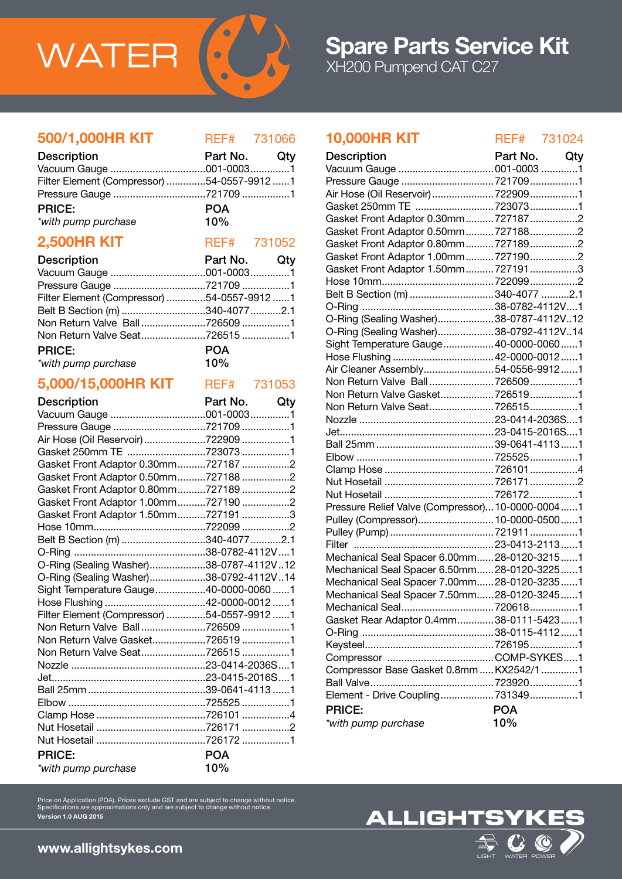

# 500/1,000HR KIT REF# 731066

| <b>Description</b>                         | Part No. Qty |  |
|--------------------------------------------|--------------|--|
|                                            |              |  |
| Filter Element (Compressor) 54-0557-9912 1 |              |  |
|                                            |              |  |
| <b>PRICE:</b>                              | <b>POA</b>   |  |
| *with pump purchase                        | 10%          |  |

# **2,500HR KIT** REF# 731052

| 2,500HR KII        | REF# 731052     |     |
|--------------------|-----------------|-----|
| <b>Decerintion</b> | <b>Dort No.</b> | Otv |

| <b>Description</b>                         | Part NO. GIV |  |
|--------------------------------------------|--------------|--|
|                                            |              |  |
|                                            |              |  |
| Filter Element (Compressor) 54-0557-9912 1 |              |  |
| Belt B Section (m) 340-4077 2.1            |              |  |
| Non Return Valve Ball7265091               |              |  |
| Non Return Valve Seat7265151               |              |  |
| <b>PRICE:</b>                              | <b>POA</b>   |  |
| *with pump purchase                        | $10\%$       |  |
|                                            |              |  |

# 5,000/15,000HR KIT REF# 731053

| <b>Description</b>                         | Part No. Qty |  |
|--------------------------------------------|--------------|--|
|                                            |              |  |
| Pressure Gauge 721709 1                    |              |  |
| Air Hose (Oil Reservoir) 722909 1          |              |  |
| Gasket 250mm TE 723073 1                   |              |  |
| Gasket Front Adaptor 0.30mm7271872         |              |  |
| Gasket Front Adaptor 0.50mm7271882         |              |  |
| Gasket Front Adaptor 0.80mm7271892         |              |  |
| Gasket Front Adaptor 1.00mm7271902         |              |  |
| Gasket Front Adaptor 1.50mm7271913         |              |  |
|                                            |              |  |
| Belt B Section (m) 340-4077 2.1            |              |  |
|                                            |              |  |
| O-Ring (Sealing Washer)38-0787-4112V12     |              |  |
| O-Ring (Sealing Washer)38-0792-4112V14     |              |  |
| Sight Temperature Gauge40-0000-0060 1      |              |  |
|                                            |              |  |
| Filter Element (Compressor) 54-0557-9912 1 |              |  |
| Non Return Valve Ball7265091               |              |  |
| Non Return Valve Gasket7265191             |              |  |
| Non Return Valve Seat7265151               |              |  |
|                                            |              |  |
|                                            |              |  |
|                                            |              |  |
|                                            |              |  |
|                                            |              |  |
|                                            |              |  |
|                                            |              |  |
| <b>PRICE:</b>                              | <b>POA</b>   |  |
| *with pump purchase                        | 10%          |  |

# 10,000HR KIT REF# 731024

| <b>Description</b>                               | Part No.   | Qty |
|--------------------------------------------------|------------|-----|
| Vacuum Gauge  001-0003 1                         |            |     |
| Pressure Gauge  721709 1                         |            |     |
| Air Hose (Oil Reservoir)  722909 1               |            |     |
| Gasket 250mm TE  7230731                         |            |     |
| Gasket Front Adaptor 0.30mm 7271872              |            |     |
| Gasket Front Adaptor 0.50mm 7271882              |            |     |
| Gasket Front Adaptor 0.80mm 7271892              |            |     |
| Gasket Front Adaptor 1.00mm 7271902              |            |     |
| Gasket Front Adaptor 1.50mm 7271913              |            |     |
|                                                  |            |     |
| Belt B Section (m) 340-4077 2.1                  |            |     |
|                                                  |            |     |
| O-Ring (Sealing Washer)38-0787-4112V12           |            |     |
| O-Ring (Sealing Washer)38-0792-4112V14           |            |     |
| Sight Temperature Gauge 40-0000-00601            |            |     |
|                                                  |            |     |
| Air Cleaner Assembly54-0556-99121                |            |     |
| Non Return Valve Ball 7265091                    |            |     |
| Non Return Valve Gasket7265191                   |            |     |
| Non Return Valve Seat7265151                     |            |     |
|                                                  |            |     |
|                                                  |            |     |
|                                                  |            |     |
|                                                  |            |     |
|                                                  |            |     |
|                                                  |            |     |
|                                                  |            |     |
| Pressure Relief Valve (Compressor) 10-0000-00041 |            |     |
| Pulley (Compressor) 10-0000-05001                |            |     |
|                                                  |            |     |
|                                                  |            |     |
|                                                  |            |     |
| Mechanical Seal Spacer 6.00mm 28-0120-32151      |            |     |
| Mechanical Seal Spacer 6.50mm 28-0120-32251      |            |     |
| Mechanical Seal Spacer 7.00mm28-0120-32351       |            |     |
| Mechanical Seal Spacer 7.50mm 28-0120-32451      |            |     |
| Mechanical Seal7206181                           |            |     |
| Gasket Rear Adaptor 0.4mm38-0111-54231           |            |     |
|                                                  |            |     |
|                                                  |            |     |
|                                                  |            |     |
| Compressor Base Gasket 0.8mm  KX2542/1 1         |            |     |
|                                                  |            |     |
| Element - Drive Coupling 7313491                 |            |     |
| <b>PRICE:</b>                                    | <b>POA</b> |     |
| *with pump purchase                              | 10%        |     |